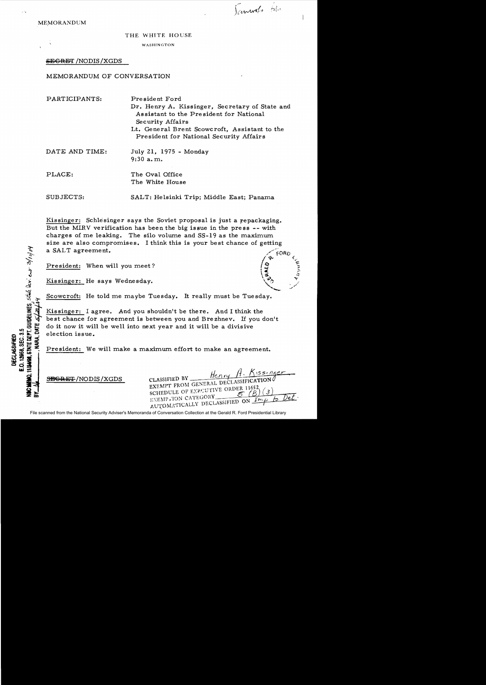MEMORANDUM

.-,

STATE DEPT. GUIDELINES,  $5540$  (i.e.,  $e^{-x}$   $3/10/10$ 

E.O. 12968, SEC. 3.5 DECLASSIFIED

DATE.

#### THE WHITE HOUSE

WASHINGTON

# SEGRET /NODIS /XGDS

#### MEMORANDUM OF CONVERSATION

| PARTICIPANTS:  | President Ford<br>Dr. Henry A. Kissinger, Secretary of State and<br>Assistant to the President for National<br>Security Affairs<br>Lt. General Brent Scowcroft, Assistant to the<br>President for National Security Affairs |
|----------------|-----------------------------------------------------------------------------------------------------------------------------------------------------------------------------------------------------------------------------|
| DATE AND TIME: | July 21, 1975 - Monday<br>$9:30$ a.m.                                                                                                                                                                                       |
| PLACE:         | The Oval Office<br>The White House                                                                                                                                                                                          |
| SUBJECTS:      | SALT: Helsinki Trip; Middle East; Panama                                                                                                                                                                                    |

Kissinger: Schlesinger says the Soviet proposal is just a repackaging. But the MIRV verification has been the big issue in the press -- with charges of me leaking. The silo volwne and SS-19 as the maximwn size are also compromises. I think this is your best chance of getting a SALT agreement.

President: When will you meet?

Kissinger: He says Wednesday.

Scowcroft: He told me maybe Tuesday. It really must be Tuesday.

Kissinger: I agree. And you shouldn't be there. And I think the best chance for agreement is between you and Brezhnev. If you don't do it now it will be well into next year and it will be a divisive election issue.

President: We will make a maximwn effort to make an agreement.

Henry H. Kissinger  $S$ EGRET/NODIS/XGDS CLASSIFIED BY  $I$  DECLASSIFICATION EXEMPT FROM GENERAL DECEMBER SCHEDULE OF EXPOUTIVE ORDER 11652 EXEMP .TON CATEGORY AUTOMATICALLY DECLASSIFIED ON.

 $\begin{pmatrix} 1 & 1 \\ 1 & 1 \end{pmatrix}$ 

Tancooks blo

File scanned from the National Security Adviser's Memoranda of Conversation Collection at the Gerald R. Ford Presidential Library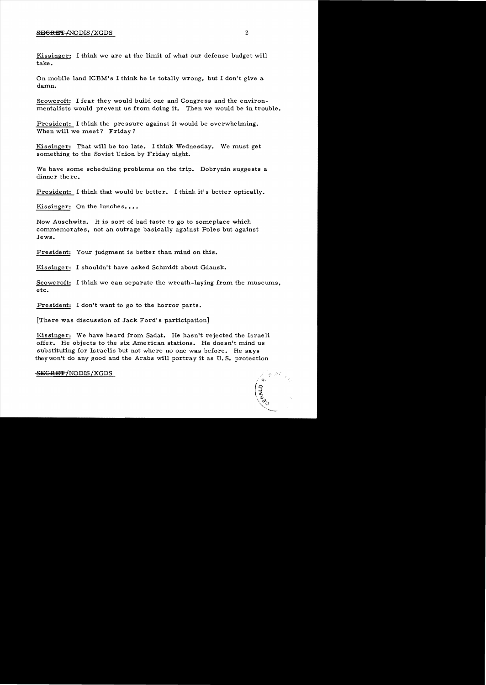# $S$  be seen that  $\sim$  2

Kissinger: I think we are at the limit of what our defense budget will take.

On mobile land ICBM's I think he is totally wrong, but I don't give a damn.

Scowcroft: I fear they would build one and Congress and the environ mentalists would prevent us from doing it. Then we would be in trouble.

President: I think the pressure against it would be overwhelming. When will we meet? Friday?

Kissinger: That will be too late. I think Wednesday. We must get something to the Soviet Union by Friday night.

We have some scheduling problems on the trip. Dobrynin suggests a dinner there.

President: I think that would be better. I think it's better optically.

Kissinger: On the lunches....

Now Auschwitz. It is sort of bad taste to go to someplace which commemorates, not an outrage basically against Poles but against Jews.

President: Your judgment is better than mind on this.

Kissinger: I shouldn't have asked Schmidt about Gdansk.

Scowcroft: I think we can separate the wreath-laying from the museums, etc.

President: I don't want to go to the horror parts.

[There was discussion of Jack Ford's participation]

Kissinger: We have heard from Sadat. He has n't rejected the Israeli offer. He objects to the six American stations. He doesn't mind us substituting for Israelis but not where no one was before. He says theywon't do any good and the Arabs will portray it as U. S. protection

#### SEGRET/NODIS/XGDS

 $\begin{pmatrix} 0 & 0 \\ 0 & 0 \end{pmatrix}$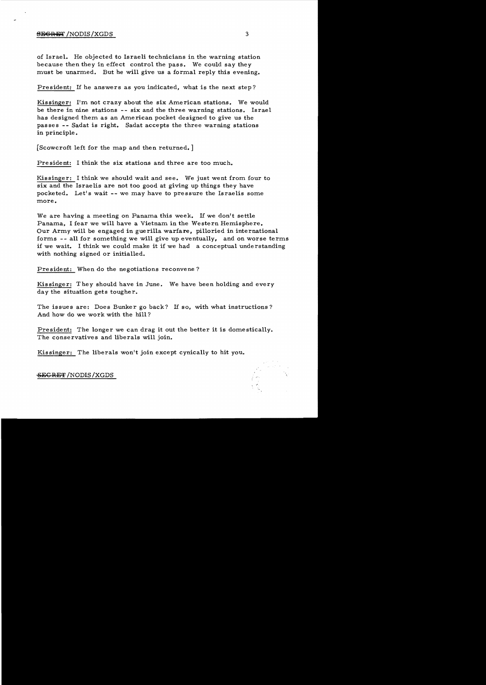## **BEGRET** /NODIS/XGDS 3

of Israel. He objected to Israeli technicians in the warning station because then they in effect control the pass. We could say they must be unarmed. But he will give us a formal reply this evening.

President: If he answers as *you* indicated, what is the next step?

Kissinger: I'm not crazy about the six American stations. We would be there in nine stations -- six and the three warning stations. Israel has designed them as an American pocket designed to give us the passes -- Sadat is right. Sadat accepts the three warning stations in principle.

[Scowcroft left for the map and then returned. ]

Pre sident: I think the six stations and three are too much.

Kissinger: I think we should wait and see. We just went from four to six and the Israelis are not too good at giving up things they have pocketed. Let's wait -- we may have to pressure the Israelis some more.

We are having a meeting on Panama this week. If we don't settle Panama. I fear we will have a Vietnam in the Western Hemisphere. Our Army will be engaged in guerilla warfare, pilloried in international forms -- all for something we will give up eventually, and on worse terms if we wait. I think we could make it if we had a conceptual understanding with nothing signed or initialled.

President: When do the negotiations reconvene?

Kissinger: They should have in June. We have been holding and every day the situation gets tougher.

The issues are: Does Bunker go back? If so, with what instructions? And how do we work with the hill?

President: The longer we can drag it out the better it is domestically. The conservatives and liberals will join.

Kissinger: The liberals won't join except cynically to hit you.

SEGRET/NODIS/XGDS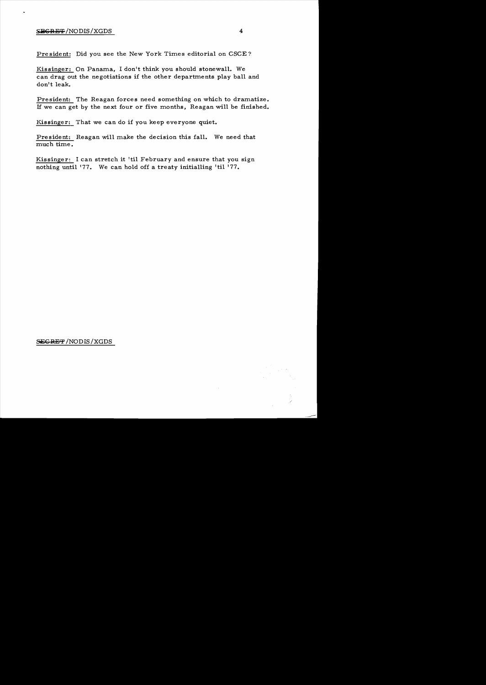### $S_{\text{EGR-IF}}/NODIS/XGDS$  4

President: Did you see the New York Times editorial on CSCE?

Kissinger: On Panama, I don't think you should stonewall. We can drag out the negotiations if the other departments play ball and don't leak.

President: The Reagan forces need something on which to dramatize. If we can get by the next four or five months, Reagan will be finished.

Kissinger: That we can do if you keep everyone quiet.

President: Reagan will make the decision this fall. We need that much time.

Kissinger: I can stretch it 'til February and ensure that *you* sign nothing until '77. We can hold off a treaty initialling 'til '77.

SEGRET / NODIS / XGDS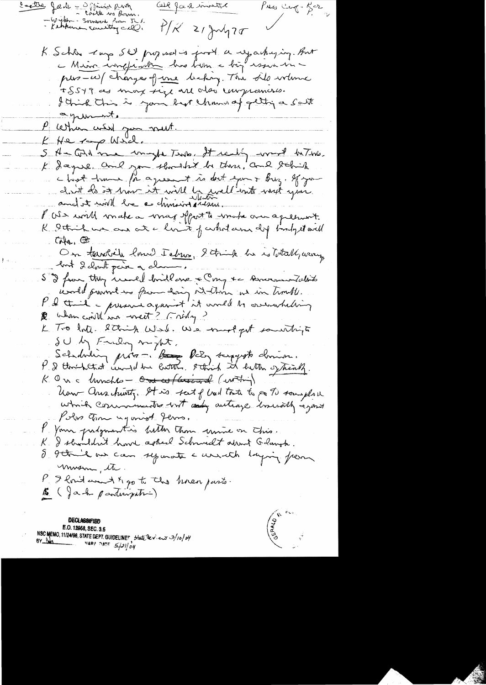Carte Jade - Officia party Oll Jard invited Press Cang-Rer  $f'/K$  21 July 20 K Schler Lup SW proposed is first a regarding . But pers-ce) changes of une becken The sile where ISSYJ as max size are also compressars. I think this is your but chann of getting a South agent. P letter with you must. K He 100 Will. S A - Girl me unight Tento, It really word between K Sayue and you thought be there, and schick chief home for agreement is dont epour Buz. If you don't le 50 1 mir it will be well ent met you. V We will make a wrag sport to wake our apressivet. K I think we are at a limit of whole are dif indepet will  $CMa.$ On terribile lourd Tebres, 2 trink he is lotally using but 2 clarit paix a chan S I from they would brid one & Cong to Ancountability could provinct us from doing station we in timell. P & third - presence against it would be overwheling K Tro Inte. String West. We most founting  $\delta U$  by Friday mapt. Schedrein proven. Base Paly surgereste christian. K On a tunche - One w/ Grained (within) haw aus huntz. It is fait fluid to the past soughou which communities with and autrage investibly against Polso Time against Jems. P. Your prodymenties bitter thou unive on This.<br>K. I shouldn't hour asked Schmidt about Gdaugh. 8 9 think our can symate a unith laying from musing the. I hout want & go to the hoven pasts.  $\mathcal{V}_\perp$ B ( Jack participation)

**DECLASSIFIED** E.O. 12958, SEC. 3.5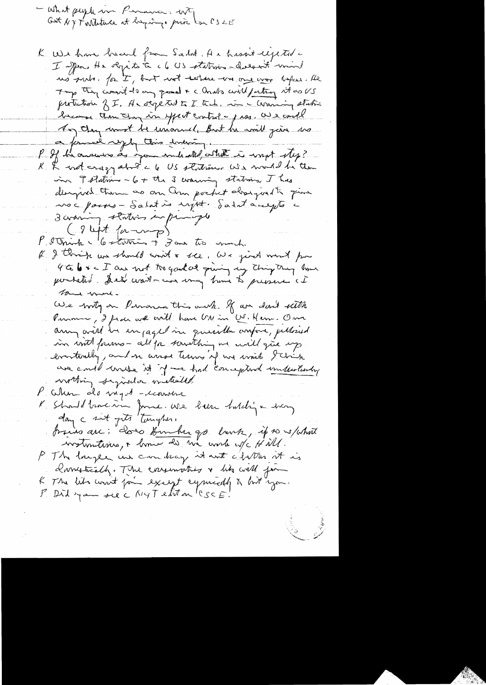- What people in Permission, WT,<br>Gast NY Torrestance at baying, price los CSLE

K We have been from Salat. A a hasn't expected I spen He sligits to c6 US station - descrit unit no suite. for I, but not testine - un one wor hopes. He The thing want to any grand & clouds will fatting it as US partichois f.I. A segeted to I tech in a warring static because then they in yest control a just a could Any they won't be unioned, But he will give us a foural reply this evening. If he answers as income with what is writ step?  $\mu_{\perp}$ K & not crazy about a 6 US stations. We would be then in Testations - 6 + the 3 warning stations. I has deryved them as on an pocket about to give noc pours-Salat is injet. Saint accepts a 3 avaning stations in principle  $(94t/m-2)$ P. Strink 6 6 statution of Jan too work. If I thrisk we should wish a see, we jied word for 4 to 6 x < I am not too good at quing my ching try lime portated. Des wards are may him to presence at tome We with on Permanea this own to un don't with Purnier, I fiai with craîl have UN in U. Herr. Om anny will be enjaged in quesilla vosfore, pelloud in with fourns - all for something in will give up eventually, and in acrose terms of we won't think we could muse it if we had conception undertundry worthing synder instealed. P. When de viget-econome<br>K. Shaddhacin June, we been taldy a doing day a sit gets tonights. trains are; does tour her go lank, if so s/what P. The longer we can dray it with chillen at is danstréath. The conservation & like well for K The lits won't fain except cymically a bot you. P. Did you see C NYT elit on 'CSCE!